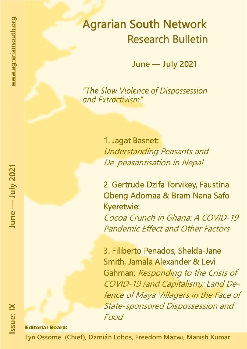# **Agrarian South Network Research Bulletin**

**June - July 2021** 

"The Slow Violence of Dispossession and Extractivism"

> 1. Jagat Basnet: **Understanding Peasants and** De-peasantisation in Nepal

2. Gertrude Dzifa Torvikey, Faustina Obeng Adomaa & Bram Nana Safo Kyeretwie: Cocoa Crunch in Ghana: A COVID-19 **Pandemic Effect and Other Factors** 

3. Filiberto Penados, Shelda-Jane Smith, Jamala Alexander & Levi Gahman: Responding to the Crisis of COVID-19 (and Capitalism): Land Defence of Maya Villagers in the Face of **State-sponsored Dispossession and** Food

## **Editorial Board:**

Lyn Ossome (Chief), Damián Lobos, Freedom Mazwi, Manish Kumar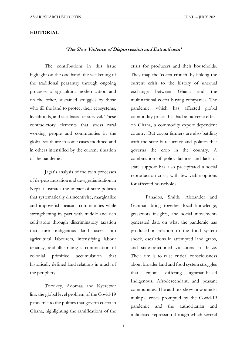#### **EDITORIAL**

## **'The Slow Violence of Dispossession and Extractivism'**

The contributions in this issue highlight on the one hand, the weakening of the traditional peasantry through ongoing processes of agricultural modernization, and on the other, sustained struggles by those who till the land to protect their ecosystems, livelihoods, and as a basis for survival. These contradictory elements that stress rural working people and communities in the global south are in some cases modified and in others intensified by the current situation of the pandemic.

Jagat's analysis of the twin processes of de-peasantisation and de-agrarianisation in Nepal illustrates the impact of state policies that systematically disincentivise, marginalize and impoverish peasant communities while strengthening its pact with middle and rich cultivators through discriminatory taxation that turn indigenous land users into agricultural labourers, intensifying labour tenancy, and illustrating a continuation of colonial primitive accumulation that historically defined land relations in much of the periphery.

Torvikey, Adomaa and Kyeretwir link the global level problem of the Covid-19 pandemic to the politics that govern cocoa in Ghana, highlighting the ramifications of the crisis for producers and their households. They map the 'cocoa crunch' by linking the current crisis to the history of unequal exchange between Ghana and the multinational cocoa buying companies. The pandemic, which has affected global commodity prices, has had an adverse effect on Ghana, a commodity export dependent country. But cocoa farmers are also battling with the state bureaucracy and politics that governs the crop in the country. A combination of policy failures and lack of state support has also precipitated a social reproduction crisis, with few viable options for affected households.

Panados, Smith, Alexander and Gahman bring together local knowledge, grassroots insights, and social movementgenerated data on what the pandemic has produced in relation to the food system shock, escalations in attempted land grabs, and state-sanctioned violations in Belize. Their aim is to raise critical consciousness about broader land and food system struggles that enjoin differing agrarian-based Indigenous, Afrodescendant, and peasant communities. The authors show how amidst multiple crises prompted by the Covid-19 pandemic and the authoritarian and militarised repression through which several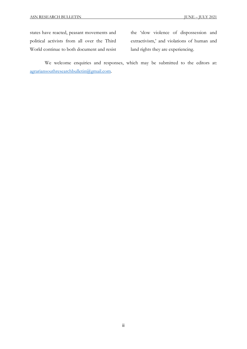states have reacted, peasant movements and political activists from all over the Third World continue to both document and resist the 'slow violence of dispossession and extractivism,' and violations of human and land rights they are experiencing.

We welcome enquiries and responses, which may be submitted to the editors at: agrariansouthresearchbulletin@gmail.com.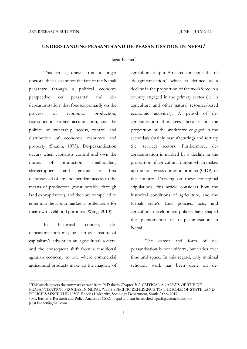## **UNDERSTANDING PEASANTS AND DE-PEASANTISATION IN NEPAL**<sup>1</sup>

#### Jagat Basnet<sup>2</sup>

This article, drawn from a longer doctoral thesis, examines the fate of the Nepali peasantry through a political economy perspective on peasantsi and dedepeasantisation<sup>ii</sup> that focuses primarily on the process of economic production, reproduction, capital accumulation, and the politics of ownership, access, control, and distribution of economic resources and property (Shanin, 1973). De-peasantisation occurs when capitalists control and own the means of production, smallholders, sharecroppers, and tenants are first dispossessed of any independent access to the means of production (most notably, through land expropriation), and then are compelled to enter into the labour market as proletarians for their own livelihood purposes (Wang, 2010).

In historical context, dedepeasantisation may be seen as a feature of capitalism's advent in an agricultural society, and the consequent shift from a traditional agrarian economy to one where commercial agricultural products make up the majority of

<u>.</u>

agricultural output. A related concept is that of 'de-agrarianisation,' which is defined as a decline in the proportion of the workforce in a country engaged in the primary sector (i.e. in agriculture and other natural resource-based economic activities). A period of deagrarianisation thus sees increases in the proportion of the workforce engaged in the secondary (mainly manufacturing) and tertiary (i.e. service) sectors. Furthermore, deagrarianisation is marked by a decline in the proportion of agricultural output which makes up the total gross domestic product (GDP) of the country. Drawing on these conceptual stipulations, this article considers how the historical conditions of agriculture, and the Nepali state's land policies, acts, and agricultural development policies have shaped the phenomenon of de-peasantisation in Nepal.

The extent and form of depeasantisation is not uniform, but varies over time and space. In this regard, only minimal scholarly work has been done on de-

<sup>1</sup> This article covers the summary extract from PhD thesis Chapter 3: A CRITICAL ANALYSIS OF THE DE-

PEASANTISATION PROCESS IN NEPAL WITH SPECIFIC REFERENCE TO THE ROLE OF STATE LAND

POLICIES SINCE THE 1950S. Rhodes University, Sociology Department, South Africa 2019

<sup>2</sup> Mr. Basnet is Research and Policy Analyst at CSRC Nepal and can be reached jagatb@csrcnepal.org or jagat.basnet@gmail.com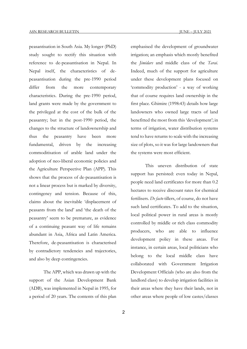peasantisation in South Asia. My longer (PhD) study sought to rectify this situation with reference to de-peasantisation in Nepal. In Nepal itself, the characteristics of depeasantisation during the pre-1990 period differ from the more contemporary characteristics. During the pre-1990 period, land grants were made by the government to the privileged at the cost of the bulk of the peasantry; but in the post-1990 period, the changes to the structure of landownership and thus the peasantry have been more fundamental, driven by the increasing commoditisation of arable land under the adoption of neo-liberal economic policies and the Agriculture Perspective Plan (APP). This shows that the process of de-peasantisation is not a linear process but is marked by diversity, contingency and tension. Because of this, claims about the inevitable 'displacement of peasants from the land' and 'the death of the peasantry' seem to be premature, as evidence of a continuing peasant way of life remains abundant in Asia, Africa and Latin America. Therefore, de-peasantisation is characterised by contradictory tendencies and trajectories, and also by deep contingencies.

The APP, which was drawn up with the support of the Asian Development Bank (ADB), was implemented in Nepal in 1995, for a period of 20 years. The contents of this plan

emphasised the development of groundwater irrigation; an emphasis which mostly benefited the *Jimidars* and middle class of the *Tarai*. Indeed, much of the support for agriculture under these development plans focused on 'commodity production' - a way of working that of course requires land ownership in the first place. Ghimire (1998:43) details how large landowners who owned large tracts of land benefitted the most from this 'development'; in terms of irrigation, water distribution systems tend to have returns to scale with the increasing size of plots, so it was for large landowners that the systems were most efficient.

This uneven distribution of state support has persisted: even today in Nepal, people need land certificates for more than 0.2 hectares to receive discount rates for chemical fertilisers. *De facto* tillers, of course, do not have such land certificates. To add to the situation, local political power in rural areas is mostly controlled by middle or rich class commodity producers, who are able to influence development policy in these areas. For instance, in certain areas, local politicians who belong to the local middle class have collaborated with Government Irrigation Development Officials (who are also from the landlord class) to develop irrigation facilities in their areas where they have their lands, not in other areas where people of low castes/classes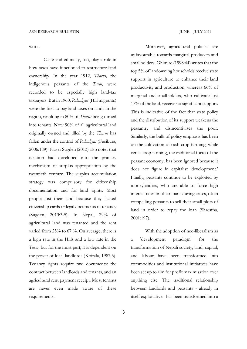work.

Caste and ethnicity, too, play a role in how taxes have functioned to restructure land ownership. In the year 1912, *Tharus,* the indigenous peasants of the *Tarai,* were recorded to be especially high land-tax taxpayers. But in 1960, *Pahadiyas* (Hill migrants) were the first to pay land taxes on lands in the region, resulting in 80% of *Tharus* being turned into tenants. Now 90% of all agricultural land originally owned and tilled by the *Tharus* has fallen under the control of *Pahadiyas* (Fusikura, 2006:189). Fraser Sugden (2013) also notes that taxation had developed into the primary mechanism of surplus appropriation by the twentieth century. The surplus accumulation strategy was compulsory for citizenship documentation and for land rights. Most people lost their land because they lacked citizenship cards or legal documents of tenancy (Sugden, 2013:3-5). In Nepal, 29% of agricultural land was tenanted and the rent varied from 25% to 67 %. On average, there is a high rate in the Hills and a low rate in the *Tarai*, but for the most part, it is dependent on the power of local landlords (Koirala, 1987:5). Tenancy rights require two documents: the contract between landlords and tenants, and an agricultural rent payment receipt. Most tenants are never even made aware of these requirements.

Moreover, agricultural policies are unfavourable towards marginal producers and smallholders. Ghimire (1998:44) writes that the top 5% of landowning households receive state support in agriculture to enhance their land productivity and production, whereas 66% of marginal and smallholders, who cultivate just 17% of the land, receive no significant support. This is indicative of the fact that state policy and the distribution of its support weakens the peasantry and disincentivises the poor. Similarly, the bulk of policy emphasis has been on the cultivation of cash crop farming, while cereal crop farming, the traditional focus of the peasant economy, has been ignored because it does not figure in capitalist 'development.' Finally, peasants continue to be exploited by moneylenders, who are able to force high interest rates on their loans during crises, often compelling peasants to sell their small plots of land in order to repay the loan (Shrestha, 2001:197).

With the adoption of neo-liberalism as a 'development paradigm' for the transformation of Nepali society, land, capital, and labour have been transformed into commodities and institutional initiatives have been set up to aim for profit maximisation over anything else. The traditional relationship between landlords and peasants - already in itself exploitative - has been transformed into a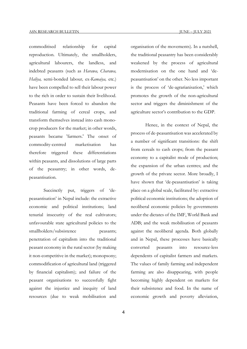commoditised relationship for capital reproduction. Ultimately, the smallholders, agricultural labourers, the landless, and indebted peasants (such as *Harawa, Charawa, Haliya,* semi-bonded labour*,* ex*-Kamaiya,* etc.) have been compelled to sell their labour power to the rich in order to sustain their livelihood. Peasants have been forced to abandon the traditional farming of cereal crops, and transform themselves instead into cash monocrop producers for the market; in other words, peasants became 'farmers.' The onset of commodity-centred marketisation has therefore triggered these differentiations within peasants, and dissolutions of large parts of the peasantry; in other words, depeasantisation.

Succinctly put, triggers of 'depeasantisation' in Nepal include: the extractive economic and political institutions; land tenurial insecurity of the real cultivators; unfavourable state agricultural policies to the smallholders/subsistence peasants; penetration of capitalism into the traditional peasant economy in the rural sector (by making it non-competitive in the market); monopsony; commodification of agricultural land (triggered by financial capitalism); and failure of the peasant organisations to successfully fight against the injustice and inequity of land resources (due to weak mobilisation and

organisation of the movements). In a nutshell, the traditional peasantry has been considerably weakened by the process of agricultural modernisation on the one hand and 'depeasantisation' on the other. No less important is the process of 'de-agrarianisation,' which promotes the growth of the non-agricultural sector and triggers the diminishment of the agriculture sector's contribution to the GDP.

Hence, in the context of Nepal, the process of de-peasantisation was accelerated by a number of significant transitions: the shift from cereals to cash crops; from the peasant economy to a capitalist mode of production; the expansion of the urban centres; and the growth of the private sector. More broadly, I have shown that 'de-peasantisation' is taking place on a global scale, facilitated by: extractive political economic institutions; the adoption of neoliberal economic policies by governments under the dictates of the IMF, World Bank and ADB; and the weak mobilisation of peasants against the neoliberal agenda. Both globally and in Nepal, these processes have basically converted peasants into resource-less dependents of capitalist farmers and markets. The values of family farming and independent farming are also disappearing, with people becoming highly dependent on markets for their subsistence and food. In the name of economic growth and poverty alleviation,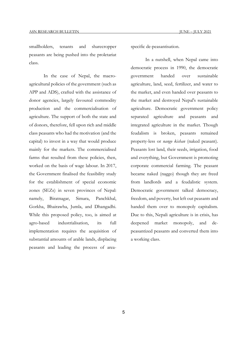smallholders, tenants and sharecropper peasants are being pushed into the proletariat class.

In the case of Nepal, the macroagricultural policies of the government (such as APP and ADS), crafted with the assistance of donor agencies, largely favoured commodity production and the commercialisation of agriculture. The support of both the state and of donors, therefore, fell upon rich and middle class peasants who had the motivation (and the capital) to invest in a way that would produce mainly for the markets. The commercialised farms that resulted from these policies, then, worked on the basis of wage labour. In 2017, the Government finalised the feasibility study for the establishment of special economic zones (SEZs) in seven provinces of Nepal: namely, Biratnagar, Simara, Panchkhal, Gorkha, Bhairawha, Jumla, and Dhangadhi. While this proposed policy, too, is aimed at agro-based industrialisation, its full implementation requires the acquisition of substantial amounts of arable lands, displacing peasants and leading the process of areaspecific de-peasantisation.

In a nutshell, when Nepal came into democratic process in 1990, the democratic government handed over sustainable agriculture, land, seed, fertilizer, and water to the market, and even handed over peasants to the market and destroyed Nepal's sustainable agriculture. Democratic government policy separated agriculture and peasants and integrated agriculture in the market. Though feudalism is broken, peasants remained property-less or *nango kishan* (naked peasant). Peasants lost land, their seeds, irrigation, food and everything, but Government is promoting corporate commercial farming. The peasant became naked (naggo) though they are freed from landlords and a feudalistic system. Democratic government talked democracy, freedom, and poverty, but left out peasants and handed them over to monopoly capitalism. Due to this, Nepali agriculture is in crisis, has deepened market monopoly, and depeasantized peasants and converted them into a working class.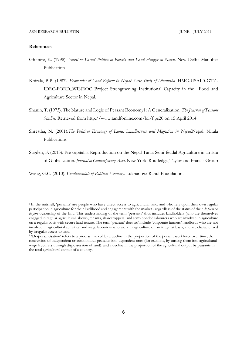#### **References**

1

- Ghimire, K. (1998). *Forest or Farm? Politics of Poverty and Land Hunger in Nepal.* New Delhi: Manohar Publication
- Koirala, B.P. (1987). *Economics of Land Reform in Nepal: Case Study of Dhanusha*. HMG-USAID-GTZ-IDRC-FORD\_WINROC Project Strengthening Institutional Capacity in the Food and Agriculture Sector in Nepal.
- Shanin, T. (1973). The Nature and Logic of Peasant Economy1: A Generalization*. The Journal of Peasant Studies.* Retrieved from http://www.tandfonline.com/loi/fjps20 on 15 April 2014
- Shrestha, N. (2001).*The Political Economy of Land, Landlessness and Migration in Nepal.*Nepal: Nirala Publications
- Sugden, F. (2013). Pre-capitalist Reproduction on the Nepal Tarai: Semi-feudal Agriculture in an Era of Globalization. *Journal of Contemporary Asia*. New York: Routledge, Taylor and Francis Group

Wang, G.C. (2010). *Fundamentals of Political Economy.* Lukhanow: Rahul Foundation.

<sup>i</sup> In the nutshell, 'peasants' are people who have direct access to agricultural land, and who rely upon their own regular participation in agriculture for their livelihood and engagement with the market - regardless of the status of their *de facto* or *de jure* ownership of the land. This understanding of the term 'peasants' thus includes landholders (who are themselves engaged in regular agricultural labour), tenants, sharecroppers, and semi-bonded labourers who are involved in agriculture on a regular basis with secure land tenure. The term 'peasant' does *not* include 'corporate farmers', landlords who are not involved in agricultural activities, and wage labourers who work in agriculture on an irregular basis, and are characterized by irregular access to land.

ii 'De-peasantisation' refers to a process marked by a decline in the proportion of the peasant workforce over time; the conversion of independent or autonomous peasants into dependent ones (for example, by turning them into agricultural wage labourers through dispossession of land); and a decline in the proportion of the agricultural output by peasants in the total agricultural output of a country.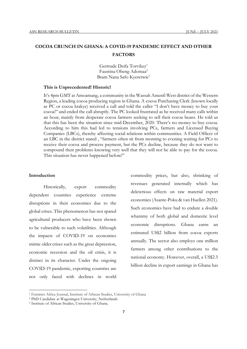## **COCOA CRUNCH IN GHANA: A COVID-19 PANDEMIC EFFECT AND OTHER FACTORS**

Gertrude Dzifa Torvikev<sup>1</sup> Faustina Obeng Adomaa<sup>2</sup> Bram Nana Safo Kyeretwie<sup>3</sup>

#### **This is Unprecedented! Historic!**

It's 4pm GMT at Amoamang, a community in the Wassah Amenfi West district of the Western Region, a leading cocoa producing region in Ghana. A cocoa Purchasing Clerk (known locally as PC or cocoa krakye) received a call and told the caller "I don't have money to buy your cocoa!" and ended the call abruptly. The PC looked frustrated as he received many calls within an hour, mainly from desperate cocoa farmers seeking to sell their cocoa beans. He told us that this has been the situation since mid-December, 2020. There's no money to buy cocoa. According to him this had led to tensions involving PCs, farmers and Licensed Buying Companies (LBCs), thereby affecting social relations within communities. A Field Officer of an LBC in the district stated , "farmers often sit from morning to evening waiting for PCs to receive their cocoa and process payment, but the PCs decline, because they do not want to compound their problems knowing very well that they will not be able to pay for the cocoa. This situation has never happened before!"

#### **Introduction**

**.** 

Historically, export commodity dependent countries experience extreme disruptions in their economies due to the global crises. This phenomenon has not spared agricultural producers who have been shown to be vulnerable to such volatilities. Although the impacts of COVID-19 on economies mimic older crises such as the great depression, economic recession and the oil crisis, it is distinct in its character. Under the ongoing COVID-19 pandemic, exporting countries are not only faced with declines in world

commodity prices, but also, shrinking of revenues generated internally which has deleterious effects on raw material export economies (Asante-Poku & van Huellen 2021). Such economies have had to endure a double whammy of both global and domestic level economic disruptions. Ghana earns an estimated US\$2 billion from cocoa exports annually. The sector also employs one million farmers among other contributions to the national economy. However, overall, a US\$2.5 billion decline in export earnings in Ghana has

<sup>&</sup>lt;sup>1</sup> Feminist Africa Journal, Institute of African Studies, University of Ghana

<sup>2</sup> PhD Candidate at Wageningen University, Netherlands

<sup>3</sup> Institute of African Studies, University of Ghana.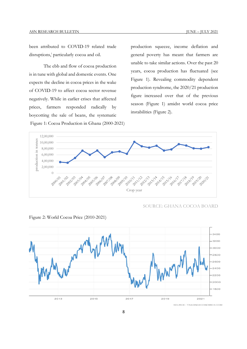been attributed to COVID-19 related trade disruptions, i particularly cocoa and oil.

The ebb and flow of cocoa production is in tune with global and domestic events. One expects the decline in cocoa prices in the wake of COVID-19 to affect cocoa sector revenue negatively. While in earlier crises that affected prices, farmers responded radically by boycotting the sale of beans, the systematic Figure 1: Cocoa Production in Ghana (2000-2021) production squeeze, income deflation and general poverty has meant that farmers are unable to take similar actions. Over the past 20 years, cocoa production has fluctuated (see Figure 1). Revealing commodity dependent production syndrome, the 2020/21 production figure increased over that of the previous season (Figure 1) amidst world cocoa price instabilities (Figure 2).



SOURCE: GHANA COCOA BOARD



Figure 2: World Cocoa Price (2010-2021)

SOURCE: TRADINGECONOMICS.COM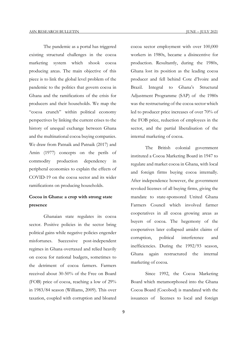The pandemic as a portal has triggered existing structural challenges in the cocoa marketing system which shook cocoa producing areas. The main objective of this piece is to link the global level problem of the pandemic to the politics that govern cocoa in Ghana and the ramifications of the crisis for producers and their households. We map the "cocoa crunch" within political economy perspectives by linking the current crises to the history of unequal exchange between Ghana and the multinational cocoa buying companies. We draw from Patnaik and Patnaik (2017) and Amin (1977) concepts on the perils of commodity production dependency in peripheral economies to explain the effects of COVID-19 on the cocoa sector and its wider ramifications on producing households.

## **Cocoa in Ghana: a crop with strong state presence**

Ghanaian state regulates its cocoa sector. Positive policies in the sector bring political gains while negative policies engender misfortunes. Successive post-independent regimes in Ghana overtaxed and relied heavily on cocoa for national budgets, sometimes to the detriment of cocoa farmers. Farmers received about 30-50% of the Free on Board (FOB) price of cocoa, reaching a low of 29% in 1983/84 season (Williams, 2009). This over taxation, coupled with corruption and bloated

cocoa sector employment with over 100,000 workers in 1980s, became a disincentive for production. Resultantly, during the 1980s, Ghana lost its position as the leading cocoa producer and fell behind Cote d'Ivoire and Brazil. Integral to Ghana's Structural Adjustment Programme (SAP) of the 1980s was the restructuring of the cocoa sector which led to producer price increases of over 70% of the FOB price, reduction of employees in the sector, and the partial liberalisation of the internal marketing of cocoa.

The British colonial government instituted a Cocoa Marketing Board in 1947 to regulate and market cocoa in Ghana, with local and foreign firms buying cocoa internally. After independence however, the government revoked licenses of all buying firms, giving the mandate to state-sponsored United Ghana Farmers Council which involved farmer cooperatives in all cocoa growing areas as buyers of cocoa. The hegemony of the cooperatives later collapsed amidst claims of corruption, political interference and inefficiencies. During the 1992/93 season, Ghana again restructured the internal marketing of cocoa.

Since 1992, the Cocoa Marketing Board which metamorphosed into the Ghana Cocoa Board (Cocobod) is mandated with the issuances of licenses to local and foreign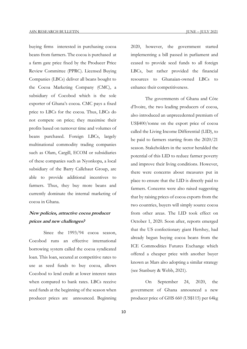buying firms interested in purchasing cocoa beans from farmers. The cocoa is purchased at a farm gate price fixed by the Producer Price Review Committee (PPRC). Licensed Buying Companies (LBCs) deliver all beans bought to the Cocoa Marketing Company (CMC), a subsidiary of Cocobod which is the sole exporter of Ghana's cocoa. CMC pays a fixed price to LBCs for the cocoa. Thus, LBCs do not compete on price; they maximise their profits based on turnover time and volumes of beans purchased. Foreign LBCs, largely multinational commodity trading companies such as Olam, Cargill, ECOM or subsidiaries of these companies such as Nyonkopa, a local subsidiary of the Barry Callebaut Group, are able to provide additional incentives to farmers. Thus, they buy more beans and currently dominate the internal marketing of cocoa in Ghana.

## **New policies, attractive cocoa producer prices and new challenges?**

Since the 1993/94 cocoa season, Cocobod runs an effective international borrowing system called the cocoa syndicated loan. This loan, secured at competitive rates to use as seed funds to buy cocoa, allows Cocobod to lend credit at lower interest rates when compared to bank rates. LBCs receive seed funds at the beginning of the season when producer prices are announced. Beginning 2020, however, the government started implementing a bill passed in parliament and ceased to provide seed funds to all foreign LBCs, but rather provided the financial resources to Ghanaian-owned LBCs to enhance their competitiveness.

The governments of Ghana and Côte d'Ivoire, the two leading producers of cocoa, also introduced an unprecedented premium of US\$400/tonne on the export price of cocoa called the Living Income Differential (LID), to be paid to farmers starting from the 2020/21 season. Stakeholders in the sector heralded the potential of this LID to reduce farmer poverty and improve their living conditions. However, there were concerns about measures put in place to ensure that the LID is directly paid to farmers. Concerns were also raised suggesting that by raising prices of cocoa exports from the two countries, buyers will simply source cocoa from other areas. The LID took effect on October 1, 2020. Soon after, reports emerged that the US confectionary giant Hershey, had already begun buying cocoa beans from the ICE Commodities Futures Exchange which offered a cheaper price with another buyer known as Mars also adopting a similar strategy (see Stanbury & Webb, 2021).

On September 24, 2020, the government of Ghana announced a new producer price of GHS 660 (US\$115) per 64kg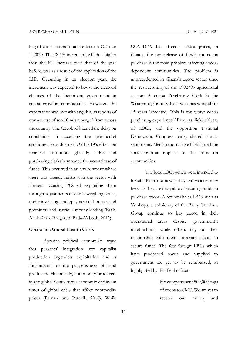bag of cocoa beans to take effect on October 1, 2020. The 28.4% increment, which is higher than the 8% increase over that of the year before, was as a result of the application of the LID. Occurring in an election year, the increment was expected to boost the electoral chances of the incumbent government in cocoa growing communities. However, the expectation was met with anguish, as reports of non-release of seed funds emerged from across the country. The Cocobod blamed the delay on constraints in accessing the pre-market syndicated loan due to COVID-19's effect on financial institutions globally. LBCs and purchasing clerks bemoaned the non-release of funds. This occurred in an environment where there was already mistrust in the sector with farmers accusing PCs of exploiting them through adjustments of cocoa weighing scales, under invoicing, underpayment of bonuses and premiums and usurious money lending (Baah, Anchirinah, Badger, & Badu-Yeboah, 2012).

#### **Cocoa in a Global Health Crisis**

Agrarian political economists argue that peasants' integration into capitalist production engenders exploitation and is fundamental to the pauperisation of rural producers. Historically, commodity producers in the global South suffer economic decline in times of global crisis that affect commodity prices (Patnaik and Patnaik, 2016). While

COVID-19 has affected cocoa prices, in Ghana, the non-release of funds for cocoa purchase is the main problem affecting cocoadependent communities. The problem is unprecedented in Ghana's cocoa sector since the restructuring of the 1992/93 agricultural season. A cocoa Purchasing Clerk in the Western region of Ghana who has worked for 15 years lamented, "this is my worst cocoa purchasing experience." Farmers, field officers of LBCs, and the opposition National Democratic Congress party, shared similar sentiments. Media reports have highlighted the socioeconomic impacts of the crisis on communities.

The local LBCs which were intended to benefit from the new policy are weaker now because they are incapable of securing funds to purchase cocoa. A few wealthier LBCs such as Yonkopa, a subsidiary of the Barry Callebaut Group continue to buy cocoa in their operational areas despite government's indebtedness, while others rely on their relationship with their corporate clients to secure funds. The few foreign LBCs which have purchased cocoa and supplied to government are yet to be reimbursed, as highlighted by this field officer:

> My company sent 500,000 bags of cocoa to CMC. We are yet to receive our money and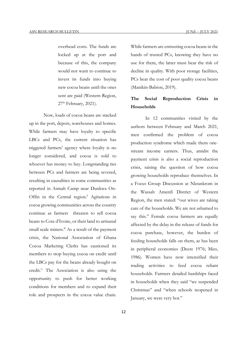overhead costs. The funds are locked up at the port and because of this, the company would not want to continue to invest its funds into buying new cocoa beans until the ones sent are paid (Western Region,  $27<sup>th</sup>$  February, 2021).

Now, loads of cocoa beans are stacked up in the port, depots, warehouses and homes. While farmers may have loyalty to specific LBCs and PCs, the current situation has triggered farmers' agency where loyalty is no longer considered, and cocoa is sold to whoever has money to buy. Longstanding ties between PCs and farmers are being severed, resulting in causalities in some communities as reported in Asmah Camp near Dunkwa On-Offin in the Central region.<sup>ii</sup> Agitations in cocoa growing communities across the country continue as farmers threaten to sell cocoa beans to Cote d'Ivoire, or their land to artisanal small scale miners.<sup>iii</sup> As a result of the payment crisis, the National Association of Ghana Cocoa Marketing Clerks has cautioned its members to stop buying cocoa on credit until the LBCs pay for the beans already bought on credit. iv The Association is also using the opportunity to push for better working conditions for members and to expand their role and prospects in the cocoa value chain.

While farmers are entrusting cocoa beans in the hands of trusted PCs, knowing they have no use for them, the latter must bear the risk of decline in quality. With poor storage facilities, PCs bear the cost of poor quality cocoa beans (Manikin-Babion, 2019).

## **The Social Reproduction Crisis in Households**

In 12 communities visited by the authors between February and March 2021, men confirmed the problem of cocoa production syndrome which made them onestream income earners. Thus, amidst the payment crisis is also a social reproduction crisis, raising the question of how cocoa growing households reproduce themselves. In a Focus Group Discussion at Nkrankrom in the Wassah Amenfi District of Western Region, the men stated: "our wives are taking care of the households. We are not ashamed to say this." Female cocoa farmers are equally affected by the delay in the release of funds for cocoa purchase, however, the burden of feeding households falls on them, as has been in peripheral economies (Deere 1976; Mies, 1986). Women have now intensified their trading activities to feed cocoa reliant households. Farmers detailed hardships faced in households when they said "we suspended Christmas" and "when schools reopened in January, we were very hot."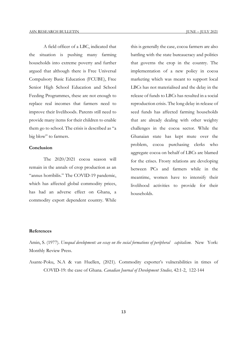A field officer of a LBC, indicated that the situation is pushing many farming households into extreme poverty and further argued that although there is Free Universal Compulsory Basic Education (FCUBE), Free Senior High School Education and School Feeding Programmes, these are not enough to replace real incomes that farmers need to improve their livelihoods. Parents still need to provide many items for their children to enable them go to school. The crisis is described as "a big blow" to farmers.

## **Conclusion**

The 2020/2021 cocoa season will remain in the annals of crop production as an "annus horribilis." The COVID-19 pandemic, which has affected global commodity prices, has had an adverse effect on Ghana, a commodity export dependent country. While

this is generally the case, cocoa farmers are also battling with the state bureaucracy and politics that governs the crop in the country. The implementation of a new policy in cocoa marketing which was meant to support local LBCs has not materialised and the delay in the release of funds to LBCs has resulted in a social reproduction crisis. The long delay in release of seed funds has affected farming households that are already dealing with other weighty challenges in the cocoa sector. While the Ghanaian state has kept mute over the problem, cocoa purchasing clerks who aggregate cocoa on behalf of LBCs are blamed for the crises. Frosty relations are developing between PCs and farmers while in the meantime, women have to intensify their livelihood activities to provide for their households.

#### **References**

Amin, S. (1977). *Unequal development: an essay on the social formations of peripheral capitalism*. New York: Monthly Review Press.

Asante-Poku, N.A & van Huellen, (2021). Commodity exporter's vulnerabilities in times of COVID-19: the case of Ghana. *Canadian Journal of Development Studies,* 42:1-2, 122-144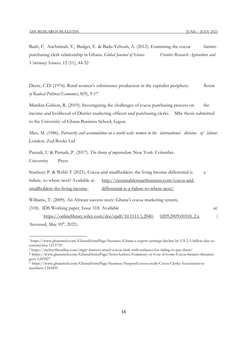Baah, F, Anchirinah, V, Badger, E & Badu-Yeboah, A. (2012). Examining the cocoa farmerpurchasing clerk relationship in Ghana. *Global Journal of Science Frontier Research Agriculture and Veterinary Sciences,* 12 (11), 44-52

Deere, C.D. (1976). Rural women's subsistence production in the capitalist periphery. *Review of Radical Political Economics*, 8(9), 9-17

Manikin-Gabion, R. (2019). Investigating the challenges of cocoa purchasing process on the income and livelihood of District marketing officers and purchasing clerks. MSc thesis submitted to the University of Ghana Business School, Legon.

Mies, M. (1986). *Patriarchy and accumulation on a world scale: women in the international division of labour.*  London: Zed Books Ltd

Patnaik, U & Patnaik, P. (2017). *The theory of imperialism*. New York: Columbia University Press

Stanbury P. & Webb T (2021). Cocoa and smallholders: the living lncome differential is a failure, so where next? Available at. http://sustainablesmartbusiness.com/cocoa-andsmallholders-the-living-income- differential-is-a-failure-so-where-next/

Williams, T. (2009). An African success story: Ghana's cocoa marketing system,

(318). IDS Working paper, Issue 318. Available at:

**.** 

https://onlinelibrary.wiley.com/doi/epdf/10.1111/j.2040- 0209.2009.00318\_2.x ( Accessed, May  $10^{th}$ , 2021).

<sup>i</sup> https://www.ghanaweb.com/GhanaHomePage/business/Ghana-s-export-earnings-decline-by-US-2-5-billion-due-tocoronavirus-1213759

ii https://mybrytfmonline.com/angry-farmers-attack-cocoa-clerk-with-cutlasses-for-failing-to-pay-them/

iii https://www.ghanaweb.com/GhanaHomePage/NewsArchive/Galamsey-or-Cote-d-Ivoire-Cocoa-farmers-threatengovt-1243927

iv https://www.ghanaweb.com/GhanaHomePage/business/Suspend-cocoa-credit-Cocoa-Clerks-Association-tomembers-1243495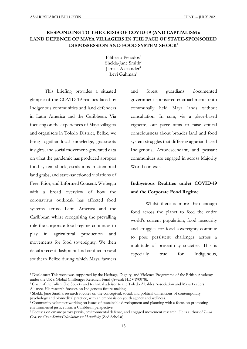## **RESPONDING TO THE CRISIS OF COVID-19 (AND CAPITALISM): LAND DEFENCE OF MAYA VILLAGERS IN THE FACE OF STATE-SPONSORED DISPOSSESSION AND FOOD SYSTEM SHOCK1**

Filiberto Penados<sup>2</sup> Shelda-Jane Smith<sup>3</sup> Jamala Alexander<sup>4</sup> Levi Gahman<sup>5</sup>

This briefing provides a situated glimpse of the COVID-19 realities faced by Indigenous communities and land defenders in Latin America and the Caribbean. Via focusing on the experiences of Maya villagers and organisers in Toledo District, Belize, we bring together local knowledge, grassroots insights, and social movement-generated data on what the pandemic has produced apropos food system shock, escalations in attempted land grabs, and state-sanctioned violations of Free, Prior, and Informed Consent. We begin with a broad overview of how the coronavirus outbreak has affected food systems across Latin America and the Caribbean whilst recognising the prevailing role the corporate food regime continues to play in agricultural production and movements for food sovereignty. We then detail a recent flashpoint land conflict in rural southern Belize during which Maya farmers

1

and forest guardians documented government-sponsored encroachments onto communally held Maya lands without consultation. In sum, via a place-based vignette, our piece aims to raise critical consciousness about broader land and food system struggles that differing agrarian-based Indigenous, Afrodescendant, and peasant communities are engaged in across Majority World contexts.

# **Indigenous Realities under COVID-19 and the Corporate Food Regime**

Whilst there is more than enough food across the planet to feed the entire world's current population, food insecurity and struggles for food sovereignty continue to pose persistent challenges across a multitude of present-day societies. This is especially true for Indigenous,

<sup>1</sup> Disclosure: This work was supported by the Heritage, Dignity, and Violence Programme of the British Academy under the UK's Global Challenges Research Fund (Award: HDV190078).

<sup>2</sup> Chair of the Julian Cho Society and technical advisor to the Toledo Alcaldes Association and Maya Leaders Alliance. His research focuses on Indigenous future-making.

<sup>&</sup>lt;sup>3</sup> Shelda-Jane Smith's research focuses on the conceptual, social, and political dimensions of contemporary psychology and biomedical practice, with an emphasis on youth agency and wellness.

<sup>4</sup> Community volunteer working on issues of sustainable development and planning with a focus on promoting environmental justice from a Caribbean perspective.

<sup>5</sup> Focuses on emancipatory praxis, environmental defense, and engaged movement research. He is author of *Land, God, & Guns: Settler Colonialism & Masculinity* (Zed Scholar).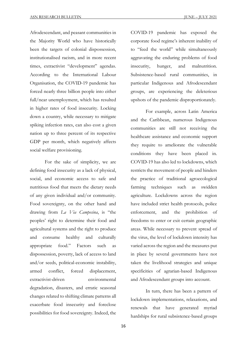Afrodescendant, and peasant communities in the Majority World who have historically been the targets of colonial dispossession, institutionalised racism, and in more recent times, extractivist "development" agendas. According to the International Labour Organisation, the COVID-19 pandemic has forced nearly three billion people into either full/near unemployment, which has resulted in higher rates of food insecurity. Locking down a country, while necessary to mitigate spiking infection rates, can also cost a given nation up to three percent of its respective GDP per month, which negatively affects social welfare provisioning.

For the sake of simplicity, we are defining food insecurity as a lack of physical, social, and economic access to safe and nutritious food that meets the dietary needs of any given individual and/or community. Food sovereignty, on the other hand and drawing from *La Via Campesina*, is "the peoples' right to determine their food and agricultural systems and the right to produce and consume healthy and culturally appropriate food." Factors such as dispossession, poverty, lack of access to land and/or seeds, political-economic instability, armed conflict, forced displacement, extractivist-driven environmental degradation, disasters, and erratic seasonal changes related to shifting climate patterns all exacerbate food insecurity and foreclose possibilities for food sovereignty. Indeed, the

COVID-19 pandemic has exposed the corporate food regime's inherent inability of to "feed the world" while simultaneously aggravating the enduring problems of food insecurity, hunger, and malnutrition. Subsistence-based rural communities, in particular Indigenous and Afrodescendant groups, are experiencing the deleterious upshots of the pandemic disproportionately.

For example, across Latin America and the Caribbean, numerous Indigenous communities are still not receiving the healthcare assistance and economic support they require to ameliorate the vulnerable conditions they have been placed in. COVID-19 has also led to lockdowns, which restricts the movement of people and hinders the practice of traditional agroecological farming techniques such as swidden agriculture. Lockdowns across the region have included strict health protocols, police enforcement, and the prohibition of freedoms to enter or exit certain geographic areas. While necessary to prevent spread of the virus, the level of lockdown intensity has varied across the region and the measures put in place by several governments have not taken the livelihood strategies and unique specificities of agrarian-based Indigenous and Afrodescendant groups into account.

In turn, there has been a pattern of lockdown implementations, relaxations, and renewals that have generated myriad hardships for rural subsistence-based groups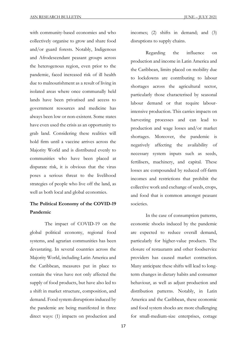with community-based economies and who collectively organise to grow and share food and/or guard forests. Notably, Indigenous and Afrodescendant peasant groups across the heterogenous region, even prior to the pandemic, faced increased risk of ill health due to malnourishment as a result of living in isolated areas where once communally held lands have been privatised and access to government resources and medicine has always been low or non-existent. Some states have even used the crisis as an opportunity to grab land. Considering these realities will hold firm until a vaccine arrives across the Majority World and is distributed evenly to communities who have been placed at disparate risk, it is obvious that the virus poses a serious threat to the livelihood strategies of people who live off the land, as well as both local and global economies.

## **The Political Economy of the COVID-19 Pandemic**

The impact of COVID-19 on the global political economy, regional food systems, and agrarian communities has been devastating. In several countries across the Majority World, including Latin America and the Caribbean, measures put in place to contain the virus have not only affected the supply of food products, but have also led to a shift in market structure, composition, and demand. Food system disruptions induced by the pandemic are being manifested in three direct ways: (1) impacts on production and

incomes; (2) shifts in demand; and (3) disruptions to supply chains.

Regarding the influence on production and income in Latin America and the Caribbean, limits placed on mobility due to lockdowns are contributing to labour shortages across the agricultural sector, particularly those characterised by seasonal labour demand or that require labourintensive production. This carries impacts on harvesting processes and can lead to production and wage losses and/or market shortages. Moreover, the pandemic is negatively affecting the availability of necessary system inputs such as seeds, fertilisers, machinery, and capital. These losses are compounded by reduced off-farm incomes and restrictions that prohibit the collective work and exchange of seeds, crops, and food that is common amongst peasant societies.

In the case of consumption patterns, economic shocks induced by the pandemic are expected to reduce overall demand, particularly for higher-value products. The closure of restaurants and other foodservice providers has caused market contraction. Many anticipate these shifts will lead to longterm changes in dietary habits and consumer behaviour, as well as adjust production and distribution patterns. Notably, in Latin America and the Caribbean, these economic and food system shocks are more challenging for small-medium-size enterprises, cottage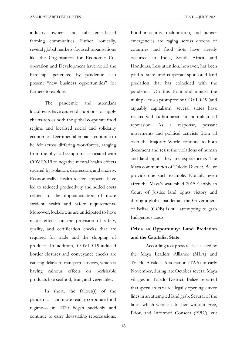industry owners and subsistence-based farming communities. Rather ironically, several global markets-focused organisations like the Organisation for Economic Cooperation and Development have noted the hardships generated by pandemic also present "new business opportunities" for farmers to explore.

The pandemic and attendant lockdowns have caused disruptions to supply chains across both the global corporate food regime and localised social and solidarity economies. Detrimental impacts continue to be felt across differing workforces, ranging from the physical symptoms associated with COVID-19 to negative mental health effects spurred by isolation, depression, and anxiety. Economically, health-related impacts have led to reduced productivity and added costs related to the implementation of more strident health and safety requirements. Moreover, lockdowns are anticipated to have major effects on the provision of safety, quality, and certification checks that are required for trade and the shipping of produce. In addition, COVID-19-induced border closures and conveyance checks are causing delays to transport services, which is having ruinous effects on perishable products like seafood, fruit, and vegetables.

In short, the fallout(s) of the pandemic––and more readily corporate food regime–– in 2020 began suddenly and continue to carry devastating repercussions.

Food insecurity, malnutrition, and hunger emergencies are raging across dozens of countries and food riots have already occurred in India, South Africa, and Honduras. Less attention, however, has been paid to state- and corporate-sponsored land predation that has coincided with the pandemic. On this front and amidst the multiple crises prompted by COVID-19 (and arguably capitalism), several states have reacted with authoritarianism and militarised repression. As a response, peasant movements and political activists from all over the Majority World continue to both document and resist the violations of human and land rights they are experiencing. The Maya communities of Toledo District, Belize provide one such example. Notably, even after the Maya's watershed 2015 Caribbean Court of Justice land rights victory and during a global pandemic, the Government of Belize (GOB) is still attempting to grab Indigenous lands.

# **Crisis as Opportunity: Land Predation and the Capitalist State**<sup>i</sup>

According to a press release issued by the Maya Leaders Alliance (MLA) and Toledo Alcaldes Association (TAA) in early November, during late October several Maya villages in Toledo District, Belize reported that speculators were illegally opening survey lines in an attempted land grab. Several of the lines, which were established without Free, Prior, and Informed Consent (FPIC), cut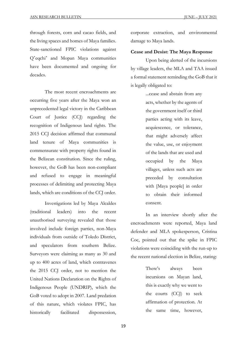through forests, corn and cacao fields, and the living spaces and homes of Maya families. State-sanctioned FPIC violations against Q'eqchi' and Mopan Maya communities have been documented and ongoing for decades.

The most recent encroachments are occurring five years after the Maya won an unprecedented legal victory in the Caribbean Court of Justice (CCJ) regarding the recognition of Indigenous land rights. The 2015 CCJ decision affirmed that communal land tenure of Maya communities is commensurate with property rights found in the Belizean constitution. Since the ruling, however, the GoB has been non-compliant and refused to engage in meaningful processes of delimiting and protecting Maya lands, which are conditions of the CCJ order.

Investigations led by Maya Alcaldes (traditional leaders) into the recent unauthorised surveying revealed that those involved include foreign parties, non-Maya individuals from outside of Toledo District, and speculators from southern Belize. Surveyors were claiming as many as 30 and up to 400 acres of land, which contravenes the 2015 CCJ order, not to mention the United Nations Declaration on the Rights of Indigenous People (UNDRIP), which the GoB voted to adopt in 2007. Land predation of this nature, which violates FPIC, has historically facilitated dispossession,

corporate extraction, and environmental damage to Maya lands.

## **Cease and Desist: The Maya Response**

Upon being alerted of the incursions by village leaders, the MLA and TAA issued a formal statement reminding the GoB that it is legally obligated to:

> ...cease and abstain from any acts, whether by the agents of the government itself or third parties acting with its leave, acquiescence, or tolerance, that might adversely affect the value, use, or enjoyment of the lands that are used and occupied by the Maya villages, unless such acts are preceded by consultation with [Maya people] in order to obtain their informed consent.

In an interview shortly after the encroachments were reported, Maya land defender and MLA spokesperson, Cristina Coc, pointed out that the spike in FPIC violations were coinciding with the run-up to the recent national election in Belize, stating:

> There's always been incursions on Mayan land, this is exactly why we went to the courts (CCJ) to seek affirmation of protection. At the same time, however,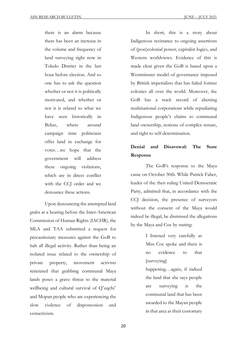there is an alarm because there has been an increase in the volume and frequency of land surveying right now in Toledo District in the last hour before election. And so one has to ask the question whether or not it is politically motivated, and whether or not it is related to what we have seen historically in Belize, where around campaign time politicians offer land in exchange for votes…we hope that the government will address these ongoing violations, which are in direct conflict with the CCJ order and we denounce these actions.

Upon denouncing the attempted land grabs at a hearing before the Inter-American Commission of Human Rights (IACHR), the MLA and TAA submitted a request for precautionary measures against the GoB to halt all illegal activity. Rather than being an isolated issue related to the ownership of private property, movement activists reiterated that grabbing communal Maya lands poses a grave threat to the material wellbeing and cultural survival of O'eqchi' and Mopan people who are experiencing the slow violence of dispossession and extractivism.

In short, this is a story about Indigenous resistance to ongoing assertions of (post)colonial power, capitalist logics, and Western worldviews. Evidence of this is made clear given the GoB is based upon a Westminster model of governance imposed by British imperialists that has failed former colonies all over the world. Moreover, the GoB has a track record of abetting multinational corporations while repudiating Indigenous people's claims to communal land ownership, notions of complex tenure, and right to self-determination.

## **Denial and Disavowal: The State Response**

The GoB's response to the Maya came on October 30th. While Patrick Faber, leader of the then ruling United Democratic Party, admitted that, in accordance with the CCJ decision, the presence of surveyors without the consent of the Maya would indeed be illegal, he dismissed the allegations by the Maya and Coc by stating:

> I listened very carefully as Miss Coc spoke and there is no evidence to that [surveying] happening…again, if indeed the land that she says people are surveying is the communal land that has been awarded to the Mayan people in that area as their customary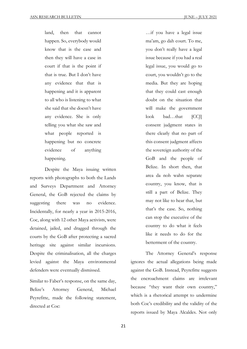land, then that cannot happen. So, everybody would know that is the case and then they will have a case in court if that is the point if that is true. But I don't have any evidence that that is happening and it is apparent to all who is listening to what she said that she doesn't have any evidence. She is only telling you what she saw and what people reported is happening but no concrete evidence of anything happening.

Despite the Maya issuing written reports with photographs to both the Lands and Surveys Department and Attorney General, the GoB rejected the claims by suggesting there was no evidence. Incidentally, for nearly a year in 2015-2016, Coc, along with 12 other Maya activists, were detained, jailed, and dragged through the courts by the GoB after protecting a sacred heritage site against similar incursions. Despite the criminalisation, all the charges levied against the Maya environmental defenders were eventually dismissed.

Similar to Faber's response, on the same day, Belize's Attorney General, Michael Peyrefitte, made the following statement, directed at Coc:

…if you have a legal issue ma'am, go dah court. To me, you don't really have a legal issue because if you had a real legal issue, you would go to court, you wouldn't go to the media. But they are hoping that they could cast enough doubt on the situation that will make the government look bad…that [CCJ] consent judgment states in there clearly that no part of this consent judgment affects the sovereign authority of the GoB and the people of Belize. In short then, that area da noh wahn separate country, you know, that is still a part of Belize. They may not like to hear that, but that's the case. So, nothing can stop the executive of the country to do what it feels like it needs to do for the betterment of the country.

The Attorney General's response ignores the actual allegations being made against the GoB. Instead, Peyrefitte suggests the encroachment claims are irrelevant because "they want their own country," which is a rhetorical attempt to undermine both Coc's credibility and the validity of the reports issued by Maya Alcaldes. Not only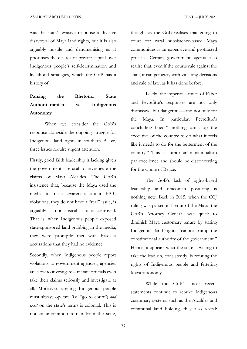was the state's evasive response a divisive disavowal of Maya land rights, but it is also arguably hostile and dehumanising as it prioritises the desires of private capital over Indigenous people's self-determination and livelihood strategies, which the GoB has a history of.

# **Parsing the Rhetoric: State Authoritarianism vs. Indigenous Autonomy**

When we consider the GoB's response alongside the ongoing struggle for Indigenous land rights in southern Belize, three issues require urgent attention.

Firstly, good faith leadership is lacking given the government's refusal to investigate the claims of Maya Alcaldes. The GoB's insistence that, because the Maya used the media to raise awareness about FPIC violations, they do not have a "real" issue, is arguably as nonsensical as it is contrived. That is, when Indigenous people exposed state-sponsored land grabbing in the media, they were promptly met with baseless accusations that they had no evidence.

Secondly, when Indigenous people report violations to government agencies, agencies are slow to investigate – if state officials even take their claims seriously and investigate at all. Moreover, arguing Indigenous people must always operate (i.e. "go to court") *and exist* on the state's terms is colonial. This is not an uncommon refrain from the state,

though, as the GoB realises that going to court for rural subsistence-based Maya communities is an expensive and protracted process. Certain government agents also realise that, even if the courts rule against the state, it can get away with violating decisions and rule of law, as it has done before.

Lastly, the imperious tones of Faber and Peyrefitte's responses are not only dismissive, but dangerous––and not only for the Maya. In particular, Peyrefitte's concluding line: "...nothing can stop the executive of the country to do what it feels like it needs to do for the betterment of the country." This is authoritarian nationalism par excellence and should be disconcerting for the whole of Belize.

The GoB's lack of rights-based leadership and draconian posturing is nothing new. Back in 2015, when the CCJ ruling was passed in favour of the Maya, the GoB's Attorney General was quick to diminish Maya customary tenure by stating Indigenous land rights "cannot trump the constitutional authority of the government." Hence, it appears what the state is willing to take the lead on, consistently, is refuting the rights of Indigenous people and fettering Maya autonomy.

While the GoB's most recent statements continue to rebuke Indigenous customary systems such as the Alcaldes and communal land holding, they also reveal: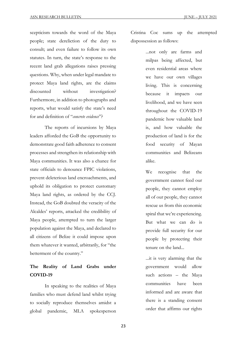scepticism towards the word of the Maya people; state dereliction of the duty to consult; and even failure to follow its own statutes. In turn, the state's response to the recent land grab allegations raises pressing questions. Why, when under legal mandate to protect Maya land rights, are the claims discounted without investigation? Furthermore, in addition to photographs and reports, what would satisfy the state's need for and definition of "*concrete evidence*"?

The reports of incursions by Maya leaders afforded the GoB the opportunity to demonstrate good faith adherence to consent processes and strengthen its relationship with Maya communities. It was also a chance for state officials to denounce FPIC violations, prevent deleterious land encroachments, and uphold its obligation to protect customary Maya land rights, as ordered by the CCJ. Instead, the GoB doubted the veracity of the Alcaldes' reports, attacked the credibility of Maya people, attempted to turn the larger population against the Maya, and declared to all citizens of Belize it could impose upon them whatever it wanted, arbitrarily, for "the betterment of the country."

## **The Reality of Land Grabs under COVID-19**

In speaking to the realities of Maya families who must defend land whilst trying to socially reproduce themselves amidst a global pandemic, MLA spokesperson

Cristina Coc sums up the attempted dispossession as follows:

> ...not only are farms and milpas being affected, but even residential areas where we have our own villages living. This is concerning because it impacts our livelihood, and we have seen throughout the COVID-19 pandemic how valuable land is, and how valuable the production of land is for the food security of Mayan communities and Belizeans alike.

We recognise that the government cannot feed our people, they cannot employ all of our people, they cannot rescue us from this economic spiral that we're experiencing. But what we can do is provide full security for our people by protecting their tenure on the land...

...it is very alarming that the government would allow such actions – the Maya communities have been informed and are aware that there is a standing consent order that affirms our rights